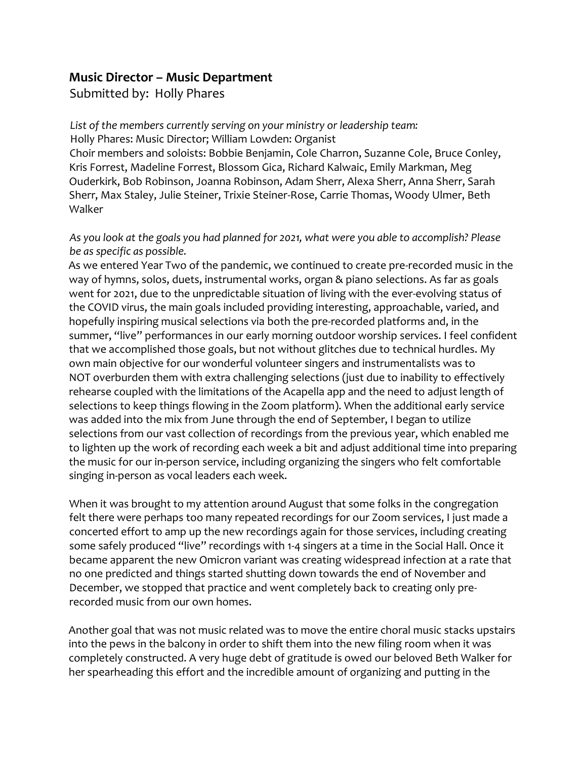## **Music Director – Music Department**

Submitted by: Holly Phares

*List of the members currently serving on your ministry or leadership team:* Holly Phares: Music Director; William Lowden: Organist Choir members and soloists: Bobbie Benjamin, Cole Charron, Suzanne Cole, Bruce Conley, Kris Forrest, Madeline Forrest, Blossom Gica, Richard Kalwaic, Emily Markman, Meg Ouderkirk, Bob Robinson, Joanna Robinson, Adam Sherr, Alexa Sherr, Anna Sherr, Sarah Sherr, Max Staley, Julie Steiner, Trixie Steiner-Rose, Carrie Thomas, Woody Ulmer, Beth Walker

## *As you look at the goals you had planned for 2021, what were you able to accomplish? Please be as specific as possible.*

As we entered Year Two of the pandemic, we continued to create pre-recorded music in the way of hymns, solos, duets, instrumental works, organ & piano selections. As far as goals went for 2021, due to the unpredictable situation of living with the ever-evolving status of the COVID virus, the main goals included providing interesting, approachable, varied, and hopefully inspiring musical selections via both the pre-recorded platforms and, in the summer, "live" performances in our early morning outdoor worship services. I feel confident that we accomplished those goals, but not without glitches due to technical hurdles. My own main objective for our wonderful volunteer singers and instrumentalists was to NOT overburden them with extra challenging selections (just due to inability to effectively rehearse coupled with the limitations of the Acapella app and the need to adjust length of selections to keep things flowing in the Zoom platform). When the additional early service was added into the mix from June through the end of September, I began to utilize selections from our vast collection of recordings from the previous year, which enabled me to lighten up the work of recording each week a bit and adjust additional time into preparing the music for our in-person service, including organizing the singers who felt comfortable singing in-person as vocal leaders each week.

When it was brought to my attention around August that some folks in the congregation felt there were perhaps too many repeated recordings for our Zoom services, I just made a concerted effort to amp up the new recordings again for those services, including creating some safely produced "live" recordings with 1-4 singers at a time in the Social Hall. Once it became apparent the new Omicron variant was creating widespread infection at a rate that no one predicted and things started shutting down towards the end of November and December, we stopped that practice and went completely back to creating only prerecorded music from our own homes.

Another goal that was not music related was to move the entire choral music stacks upstairs into the pews in the balcony in order to shift them into the new filing room when it was completely constructed. A very huge debt of gratitude is owed our beloved Beth Walker for her spearheading this effort and the incredible amount of organizing and putting in the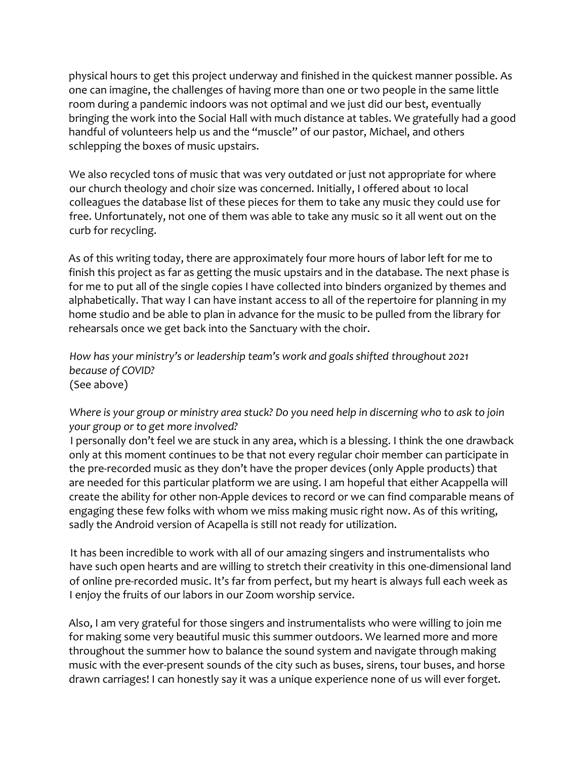physical hours to get this project underway and finished in the quickest manner possible. As one can imagine, the challenges of having more than one or two people in the same little room during a pandemic indoors was not optimal and we just did our best, eventually bringing the work into the Social Hall with much distance at tables. We gratefully had a good handful of volunteers help us and the "muscle" of our pastor, Michael, and others schlepping the boxes of music upstairs.

We also recycled tons of music that was very outdated or just not appropriate for where our church theology and choir size was concerned. Initially, I offered about 10 local colleagues the database list of these pieces for them to take any music they could use for free. Unfortunately, not one of them was able to take any music so it all went out on the curb for recycling.

As of this writing today, there are approximately four more hours of labor left for me to finish this project as far as getting the music upstairs and in the database. The next phase is for me to put all of the single copies I have collected into binders organized by themes and alphabetically. That way I can have instant access to all of the repertoire for planning in my home studio and be able to plan in advance for the music to be pulled from the library for rehearsals once we get back into the Sanctuary with the choir.

*How has your ministry's or leadership team's work and goals shifted throughout 2021 because of COVID?*  (See above)

*Where is your group or ministry area stuck? Do you need help in discerning who to ask to join your group or to get more involved?*

I personally don't feel we are stuck in any area, which is a blessing. I think the one drawback only at this moment continues to be that not every regular choir member can participate in the pre-recorded music as they don't have the proper devices (only Apple products) that are needed for this particular platform we are using. I am hopeful that either Acappella will create the ability for other non-Apple devices to record or we can find comparable means of engaging these few folks with whom we miss making music right now. As of this writing, sadly the Android version of Acapella is still not ready for utilization.

It has been incredible to work with all of our amazing singers and instrumentalists who have such open hearts and are willing to stretch their creativity in this one-dimensional land of online pre-recorded music. It's far from perfect, but my heart is always full each week as I enjoy the fruits of our labors in our Zoom worship service.

Also, I am very grateful for those singers and instrumentalists who were willing to join me for making some very beautiful music this summer outdoors. We learned more and more throughout the summer how to balance the sound system and navigate through making music with the ever-present sounds of the city such as buses, sirens, tour buses, and horse drawn carriages! I can honestly say it was a unique experience none of us will ever forget.